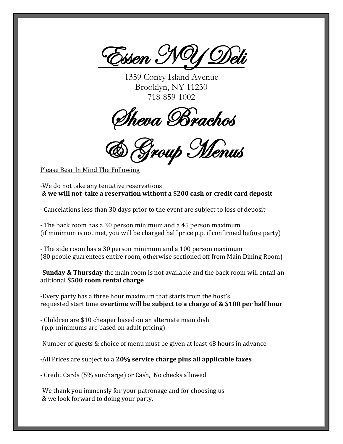

1359 Coney Island Avenue Brooklyn, NY 11230 718-859-1002

Sheva Brachos

& Group Menus

Please Bear In Mind The Following

-We do not take any tentative reservations & **we will not take a reservation without a \$200 cash or credit card deposit**

- Cancelations less than 30 days prior to the event are subject to loss of deposit

- The back room has a 30 person minimum and a 45 person maximum (if minimum is not met, you will be charged half price p.p. if confirmed before party)

- The side room has a 30 person minimum and a 100 person maximum (80 people guarentees entire room, otherwise sectioned off from Main Dining Room)

-**Sunday & Thursday** the main room is not available and the back room will entail an aditional **\$500 room rental charge**

-Every party has a three hour maximum that starts from the host's requested start time **overtime will be subject to a charge of & \$100 per half hour**

- Children are \$10 cheaper based on an alternate main dish (p.p. minimums are based on adult pricing)

-Number of guests & choice of menu must be given at least 48 hours in advance

-All Prices are subject to a **20% service charge plus all applicable taxes**

- Credit Cards (5% surcharge) or Cash, No checks allowed

-We thank you immensly for your patronage and for choosing us & we look forward to doing your party.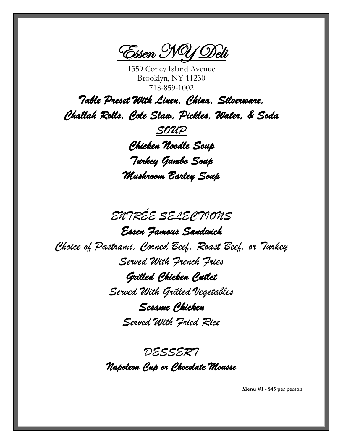Essen NY Deli

1359 Coney Island Avenue Brooklyn, NY 11230 718-859-1002

*Table Preset With Linen, China, Silverware, Challah Rolls, Cole Slaw, Pickles, Water, & Soda SOUP Chicken Noodle Soup Turkey Gumbo Soup Mushroom Barley Soup* 

*ENTRÉE SELECTIONS* 

*Essen Famous Sandwich Choice of Pastrami, Corned Beef, Roast Beef, or Turkey Served With French Fries Grilled Chicken Cutlet Served With Grilled Vegetables Sesame Chicken* 

*Served With Fried Rice*

*DESSERT Napoleon Cup or Chocolate Mousse* 

**Menu #1 - \$45 per person**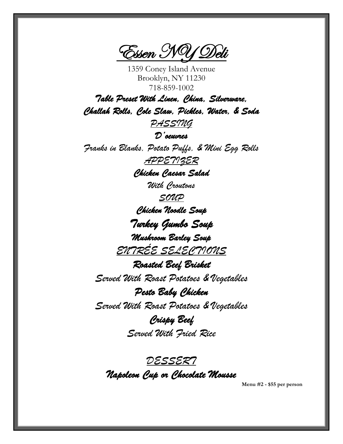Essen NY Deli

1359 Coney Island Avenue Brooklyn, NY 11230 718-859-1002

*Table Preset With Linen, China, Silverware, Challah Rolls, Cole Slaw, Pickles, Water, & Soda* 

*PASSING*

*D'oeuvres* 

*Franks in Blanks, Potato Puffs, & Mini Egg Rolls APPETIZER*

*Chicken Caesar Salad* 

*With Croutons*

*SOUP Chicken Noodle Soup Turkey Gumbo Soup Mushroom Barley Soup* 

*ENTRÉE SELECTIONS* 

*Roasted Beef Brisket Served With Roast Potatoes & Vegetables*

*Pesto Baby Chicken Served With Roast Potatoes & Vegetables*

> *Crispy Beef Served With Fried Rice*

*DESSERT Napoleon Cup or Chocolate Mousse* 

**Menu #2 - \$55 per person**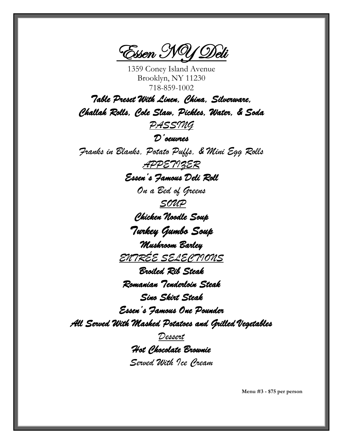Essen NY Deli

1359 Coney Island Avenue Brooklyn, NY 11230 718-859-1002

*Table Preset With Linen, China, Silverware, Challah Rolls, Cole Slaw, Pickles, Water, & Soda PASSING D'oeuvres Franks in Blanks, Potato Puffs, & Mini Egg Rolls APPETIZER Essen's Famous Deli Roll On a Bed of Greens SOUP Chicken Noodle Soup Turkey Gumbo Soup Mushroom Barley ENTRÉE SELECTIONS Broiled Rib Steak Romanian Tenderloin Steak Sino Skirt Steak Essen's Famous One Pounder All Served With Mashed Potatoes and Grilled Vegetables Dessert*

*Hot Chocolate Brownie Served With Ice Cream*

**Menu #3 - \$75 per person**